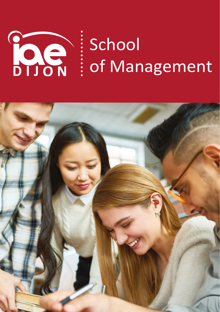

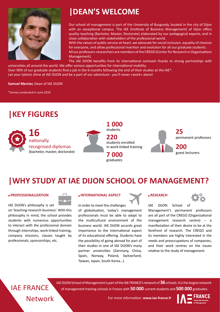

## **|DEAN'S WELCOME**

Our school of management is part of the University of Burgundy, located in the city of Dijon with an exceptional campus. The IAE (Institute of Business Management) of Dijon offers quality teaching (Bachelor, Master, Doctorate) elaborated by our pedagogical experts, and in close collaboration with stakeholders of the professional world.

With the values of public service at heart, we advocate for social inclusion, equality of chances for everyone, and allow professional insertion and evolution for all our graduate students.

All our professors-researchers are members of the CREGO (Center for Research in Organisations Management).

The IAE DIJON benefits from its international outreash thanks to strong partneships with universities all around the world. We offer various opportunities for international mobility.

Over 90% of our graduate students find a job in the 6 months following the end of their studies at the IAE\*. Let your talents shine at IAE DIJON and be a part of our adventure : you'll never «work» alone!

**Samuel Mercier,** Dean of IAE DIJON

\*Survey conducted in June 2019

## **|KEY FIGURES**



**1 000** students **220** students enrolled in work-linked training **7 000**

graduates



## **|WHY STUDY AT IAE DIJON SCHOOL OF MANAGEMENT?**

#### **PROFESSIONALIZATION**

IAE DIJON's philosophy is set

on 'teaching-research-business'. With this philosophy in mind, the school provides students with numerous opportunities to interact with the professional domain through internships, work-linked training, company missions, classes taught by professionals, sponsorships, etc.

#### **INTERNATIONAL ASPECT**

In order to meet the challenges of globalisation, today's management professionals must be able to adapt to the multicultural environment of the business world. IAE DIJON accords great importance to the international aspect of its educational offering. Students have the possibility of going abroad for part of their studies in one of IAE DIJON's many partner universities (Germany, China, Spain, Norway, Poland, Switzerland, Taiwan, Japan, South Korea…).

## **RESEARCH**



IAE DIJON School of Management's permanent professors are all part of the CREGO (Organizational management research centre) – a manifestation of their desire to be at the forefront of research. The CREGO and its members are highly interested in the needs and preoccupations of companies, and their work centres on the issues relative to the study of management.

## Network IAE FRANCE

IAE DIJON School of Management is part of the IAE FRANCE's network of **36** schools. It is the largest network of management training schools in France with **50 000** current students and **500 000** graduates.

For more information: **www.iae-france.fr**

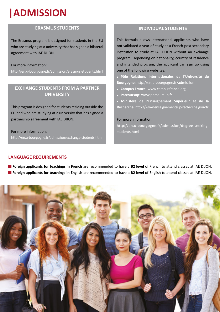# **|ADMISSION**

### **ERASMUS STUDENTS**

The Erasmus program is designed for students in the EU who are studying at a university that has signed a bilateral agreement with IAE DIJON.

### For more information:

http://en.u-bourgogne.fr/admission/erasmus-students.html

### **EXCHANGE STUDENTS FROM A PARTNER UNIVERSITY**

This program is designed for students residing outside the EU and who are studying at a university that has signed a partnership agreement with IAE DIJON.

For more information: http://en.u-bourgogne.fr/admission/exchange-students.html

### **INDIVIDUAL STUDENTS**

This formula allows international applicants who have not validated a year of study at a French post-secondary institution to study at IAE DIJON without an exchange program. Depending on nationality, country of residence and intended program, the applicant can sign up using one of the following websites:

**Pôle Relations Internationales de l'Université de Bourgogne**: http://en.u-bourgogne.fr/admission

- **Campus France: www.campusfrance.org**
- **Parcoursup**: www.parcoursup.fr

**Ministère de l'Enseignement Supérieur et de la Recherche**: http://www.enseignementsup-recherche.gouv.fr

### For more information:

http://en.u-bourgogne.fr/admission/degree-seekingstudents.html

### **LANGUAGE REQUIREMENTS**

**Foreign applicants for teachings in French** are recommended to have a **B2 level** of French to attend classes at IAE DIJON. **Foreign applicants for teachings in English** are recommended to have a **B2 level** of English to attend classes at IAE DIJON.

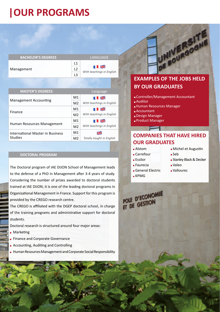## **|OUR PROGRAMS**

| <b>BACHELOR'S DEGREES</b>                          | LANGUAGE       |                           |
|----------------------------------------------------|----------------|---------------------------|
| Management                                         | L1<br>L2       | <b>TIEK</b>               |
|                                                    | L <sub>3</sub> | With teachings in English |
|                                                    |                |                           |
| <b>MASTER'S DEGREES</b>                            |                | Language                  |
| <b>Management Accounting</b>                       | M1             | <b>TIEK</b>               |
|                                                    | M <sub>2</sub> | With teachings in English |
| Finance                                            | M1             | <b>TIE</b>                |
|                                                    | M <sub>2</sub> | With teachings in English |
| Human Resources Management                         | M1             | <b>TIEK</b>               |
|                                                    | M <sub>2</sub> | With teachings in English |
| International Master in Business<br><b>Studies</b> | M1             | ¥K                        |
|                                                    | M <sub>2</sub> | Totally taught in English |

### **DOCTORAL PROGRAM**

The Doctoral program of IAE DIJON School of Management leads to the defense of a PhD in Management after 3-4 years of study. Considering the number of prizes awarded to doctoral students trained at IAE DIJON, it is one of the leading doctoral programs in Organizational Management in France. Support for this program is provided by the CREGO research centre.

The CREGO is affiliated with the DGEP doctoral school, in charge of the training programs and administrative support for doctoral students.

Doctoral research is structured around four major areas:

- **Marketing**
- **Finance and Corporate Governance**
- **Accounting, Auditing and Controlling**
- Human Resources Management and Corporate Social Responsibility



### **EXAMPLES OF THE JOBS HELD BY OUR GRADUATES**

- Controller/Management Accountant
- Auditor
- Human Resources Manager
- Accountant
- Design Manager
- **Product Manager**

### **COMPANIES THAT HAVE HIRED OUR GRADUATES**

- Alstom
- Carrefour
- Essilor
- Faurecia
- General Electric
- KPMG
- **Michel et Augustin**
- Seb
- **Stanley Black & Decker**
- Valeo
- Vallourec
- POLE D'ECONOMIE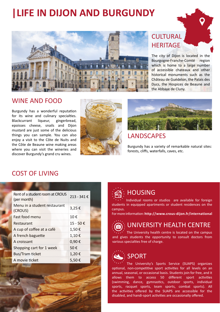## **|LIFE IN DIJON AND BURGUNDY**



## **CULTURAL HERITAGE**

The city of Dijon is located in the Bourgogne-Franche-Comté region which is home to a large number of accessible chateaux and other historical monuments such as the Château de Guédelon, the Palais des Ducs, the Hospices de Beaune and the Abbaye de Cluny.

### WINE AND FOOD

Burgundy has a wonderful reputation for its wine and culinary specialties. Blackcurrant liqueur, gingerbread, epoisses cheese, snails and Dijon mustard are just some of the delicious things you can sample. You can also enjoy a visit to the Côte de Nuits and the Côte de Beaune wine making areas where you can visit the wineries and discover Burgundy's grand cru wines.





## LANDSCAPES

Burgundy has a variety of remarkable natural sites: forests, cliffs, waterfalls, caves, etc.

## COST OF LIVING

| Rent of a student room at CROUS<br>(per month) | 213 - 341€ |  |
|------------------------------------------------|------------|--|
| Menu in a student restaurant<br>(CROUS)        | 3,25€      |  |
| Fast food menu                                 | 10€        |  |
| Restaurant                                     | 15 - 50€   |  |
| A cup of coffee at a café                      | 1,50€      |  |
| A french baguette                              | 1,10€      |  |
| A croissant                                    | 0,90€      |  |
| Shopping cart for 1 week                       | 50€        |  |
| <b>Bus/Tram ticket</b>                         | 1,20€      |  |
| A movie ticket                                 | 5,50€      |  |



## HOUSING

Individual rooms or studios are available for foreign students in equipped apartments or student residences on the campus.

For more information: **http://www.crous-dijon.fr/international**

## UNIVERSITY HEALTH CENTRE

The University health centre is located on the campus and gives students the opportunity to consult doctors from various specialties free of charge.

## SPORT

The University's Sports Service (SUAPS) organizes optional, non-competitive sport activities for all levels on an annual, seasonal, or occasional basis. Students join for free, and it allows them to access 50 different sport activities (swimming, dance, gymnastics, outdoor sports, individual sports, racquet sports, team sports, combat sports). All the activities offered by the SUAPS are accessible for the disabled, and handi-sport activities are occasionally offered.